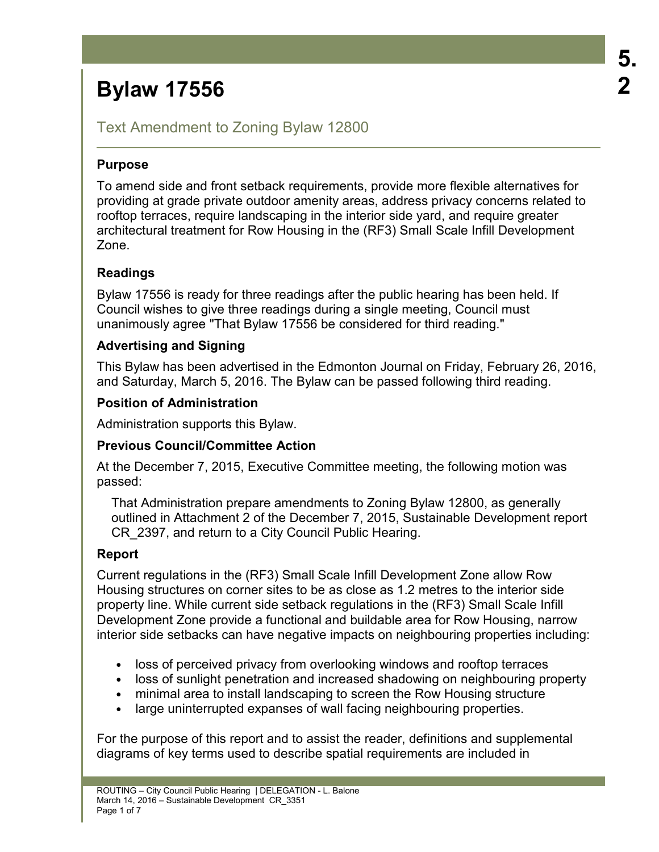# Text Amendment to Zoning Bylaw 12800

# **Purpose**

To amend side and front setback requirements, provide more flexible alternatives for providing at grade private outdoor amenity areas, address privacy concerns related to rooftop terraces, require landscaping in the interior side yard, and require greater architectural treatment for Row Housing in the (RF3) Small Scale Infill Development Zone.

# **Readings**

Bylaw 17556 is ready for three readings after the public hearing has been held. If Council wishes to give three readings during a single meeting, Council must unanimously agree "That Bylaw 17556 be considered for third reading."

# **Advertising and Signing**

This Bylaw has been advertised in the Edmonton Journal on Friday, February 26, 2016, and Saturday, March 5, 2016. The Bylaw can be passed following third reading.

### **Position of Administration**

Administration supports this Bylaw.

### **Previous Council/Committee Action**

At the December 7, 2015, Executive Committee meeting, the following motion was passed:

That Administration prepare amendments to Zoning Bylaw 12800, as generally outlined in Attachment 2 of the December 7, 2015, Sustainable Development report CR\_2397, and return to a City Council Public Hearing.

### **Report**

Current regulations in the (RF3) Small Scale Infill Development Zone allow Row Housing structures on corner sites to be as close as 1.2 metres to the interior side property line. While current side setback regulations in the (RF3) Small Scale Infill Development Zone provide a functional and buildable area for Row Housing, narrow interior side setbacks can have negative impacts on neighbouring properties including:

- loss of perceived privacy from overlooking windows and rooftop terraces
- loss of sunlight penetration and increased shadowing on neighbouring property
- minimal area to install landscaping to screen the Row Housing structure
- large uninterrupted expanses of wall facing neighbouring properties.

For the purpose of this report and to assist the reader, definitions and supplemental diagrams of key terms used to describe spatial requirements are included in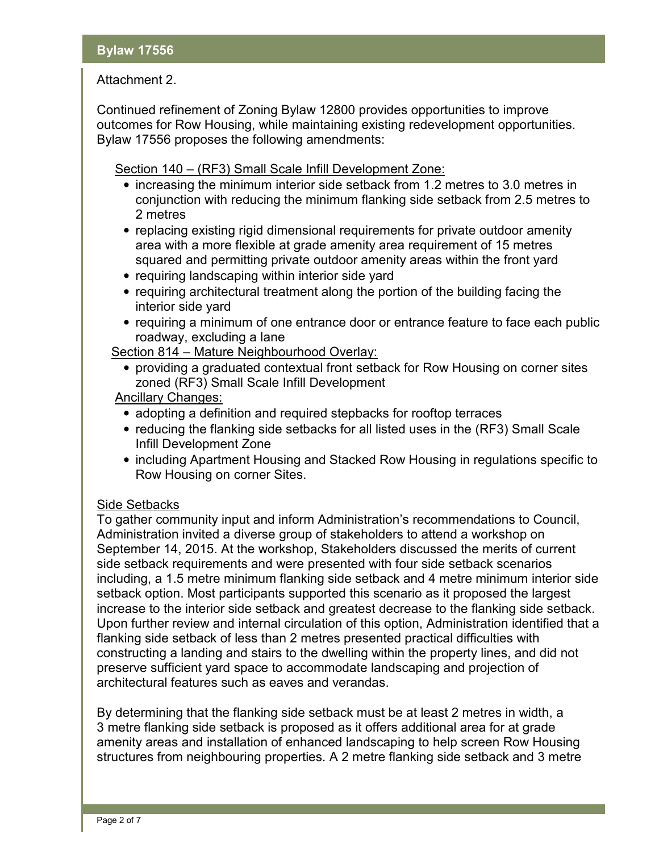# Attachment 2.

Continued refinement of Zoning Bylaw 12800 provides opportunities to improve outcomes for Row Housing, while maintaining existing redevelopment opportunities. Bylaw 17556 proposes the following amendments:

Section 140 – (RF3) Small Scale Infill Development Zone:

- increasing the minimum interior side setback from 1.2 metres to 3.0 metres in conjunction with reducing the minimum flanking side setback from 2.5 metres to 2 metres
- replacing existing rigid dimensional requirements for private outdoor amenity area with a more flexible at grade amenity area requirement of 15 metres squared and permitting private outdoor amenity areas within the front yard
- requiring landscaping within interior side yard
- requiring architectural treatment along the portion of the building facing the interior side yard
- requiring a minimum of one entrance door or entrance feature to face each public roadway, excluding a lane

Section 814 – Mature Neighbourhood Overlay:

• providing a graduated contextual front setback for Row Housing on corner sites zoned (RF3) Small Scale Infill Development

Ancillary Changes:

- adopting a definition and required stepbacks for rooftop terraces
- reducing the flanking side setbacks for all listed uses in the (RF3) Small Scale Infill Development Zone
- including Apartment Housing and Stacked Row Housing in regulations specific to Row Housing on corner Sites.

# Side Setbacks

To gather community input and inform Administration's recommendations to Council, Administration invited a diverse group of stakeholders to attend a workshop on September 14, 2015. At the workshop, Stakeholders discussed the merits of current side setback requirements and were presented with four side setback scenarios including, a 1.5 metre minimum flanking side setback and 4 metre minimum interior side setback option. Most participants supported this scenario as it proposed the largest increase to the interior side setback and greatest decrease to the flanking side setback. Upon further review and internal circulation of this option, Administration identified that a flanking side setback of less than 2 metres presented practical difficulties with constructing a landing and stairs to the dwelling within the property lines, and did not preserve sufficient yard space to accommodate landscaping and projection of architectural features such as eaves and verandas.

By determining that the flanking side setback must be at least 2 metres in width, a 3 metre flanking side setback is proposed as it offers additional area for at grade amenity areas and installation of enhanced landscaping to help screen Row Housing structures from neighbouring properties. A 2 metre flanking side setback and 3 metre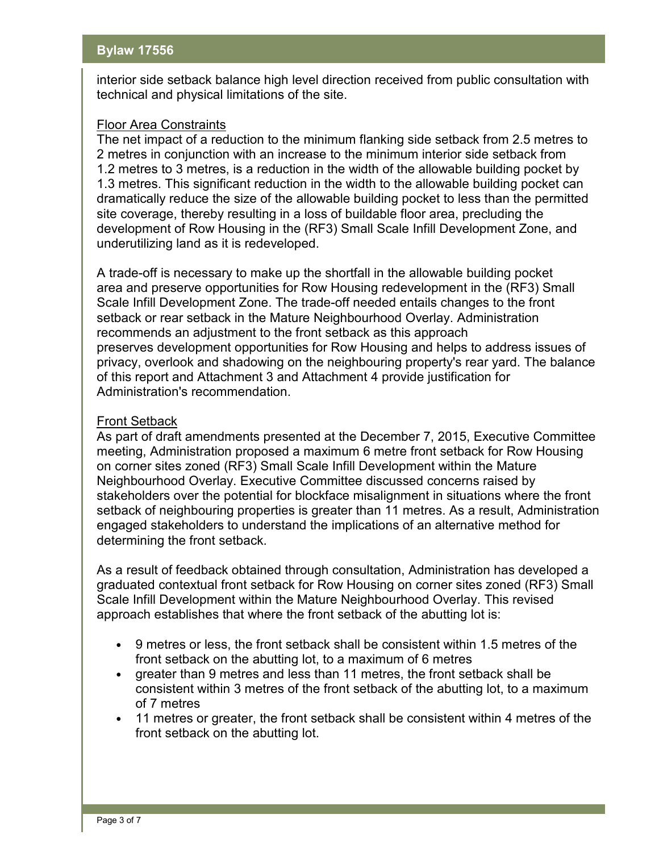interior side setback balance high level direction received from public consultation with technical and physical limitations of the site.

#### Floor Area Constraints

The net impact of a reduction to the minimum flanking side setback from 2.5 metres to 2 metres in conjunction with an increase to the minimum interior side setback from 1.2 metres to 3 metres, is a reduction in the width of the allowable building pocket by 1.3 metres. This significant reduction in the width to the allowable building pocket can dramatically reduce the size of the allowable building pocket to less than the permitted site coverage, thereby resulting in a loss of buildable floor area, precluding the development of Row Housing in the (RF3) Small Scale Infill Development Zone, and underutilizing land as it is redeveloped.

A trade-off is necessary to make up the shortfall in the allowable building pocket area and preserve opportunities for Row Housing redevelopment in the (RF3) Small Scale Infill Development Zone. The trade-off needed entails changes to the front setback or rear setback in the Mature Neighbourhood Overlay. Administration recommends an adjustment to the front setback as this approach preserves development opportunities for Row Housing and helps to address issues of privacy, overlook and shadowing on the neighbouring property's rear yard. The balance of this report and Attachment 3 and Attachment 4 provide justification for Administration's recommendation.

### Front Setback

As part of draft amendments presented at the December 7, 2015, Executive Committee meeting, Administration proposed a maximum 6 metre front setback for Row Housing on corner sites zoned (RF3) Small Scale Infill Development within the Mature Neighbourhood Overlay. Executive Committee discussed concerns raised by stakeholders over the potential for blockface misalignment in situations where the front setback of neighbouring properties is greater than 11 metres. As a result, Administration engaged stakeholders to understand the implications of an alternative method for determining the front setback.

As a result of feedback obtained through consultation, Administration has developed a graduated contextual front setback for Row Housing on corner sites zoned (RF3) Small Scale Infill Development within the Mature Neighbourhood Overlay. This revised approach establishes that where the front setback of the abutting lot is:

- 9 metres or less, the front setback shall be consistent within 1.5 metres of the front setback on the abutting lot, to a maximum of 6 metres
- greater than 9 metres and less than 11 metres, the front setback shall be consistent within 3 metres of the front setback of the abutting lot, to a maximum of 7 metres
- 11 metres or greater, the front setback shall be consistent within 4 metres of the front setback on the abutting lot.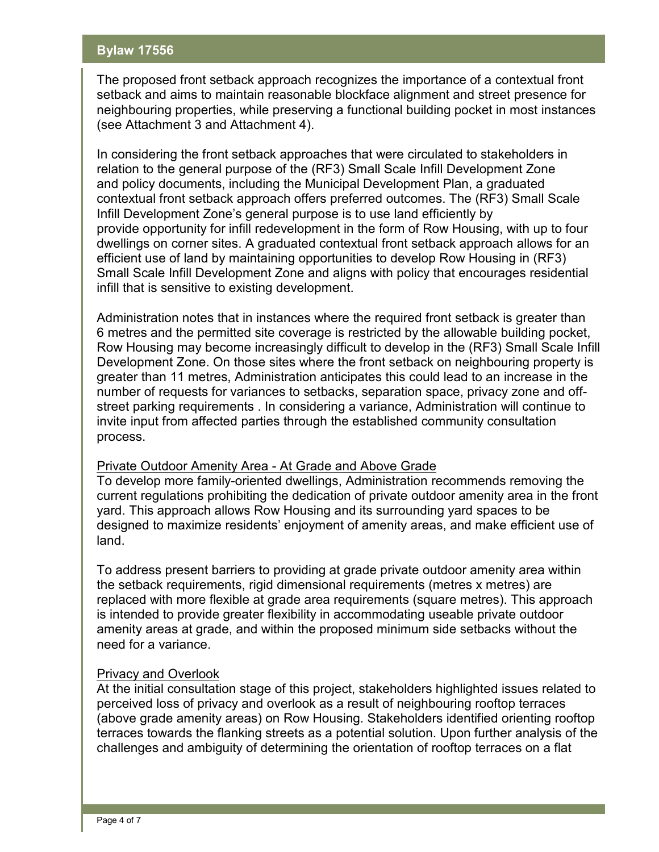The proposed front setback approach recognizes the importance of a contextual front setback and aims to maintain reasonable blockface alignment and street presence for neighbouring properties, while preserving a functional building pocket in most instances (see Attachment 3 and Attachment 4).

In considering the front setback approaches that were circulated to stakeholders in relation to the general purpose of the (RF3) Small Scale Infill Development Zone and policy documents, including the Municipal Development Plan, a graduated contextual front setback approach offers preferred outcomes. The (RF3) Small Scale Infill Development Zone's general purpose is to use land efficiently by provide opportunity for infill redevelopment in the form of Row Housing, with up to four dwellings on corner sites. A graduated contextual front setback approach allows for an efficient use of land by maintaining opportunities to develop Row Housing in (RF3) Small Scale Infill Development Zone and aligns with policy that encourages residential infill that is sensitive to existing development.

Administration notes that in instances where the required front setback is greater than 6 metres and the permitted site coverage is restricted by the allowable building pocket, Row Housing may become increasingly difficult to develop in the (RF3) Small Scale Infill Development Zone. On those sites where the front setback on neighbouring property is greater than 11 metres, Administration anticipates this could lead to an increase in the number of requests for variances to setbacks, separation space, privacy zone and offstreet parking requirements . In considering a variance, Administration will continue to invite input from affected parties through the established community consultation process.

#### Private Outdoor Amenity Area - At Grade and Above Grade

To develop more family-oriented dwellings, Administration recommends removing the current regulations prohibiting the dedication of private outdoor amenity area in the front yard. This approach allows Row Housing and its surrounding yard spaces to be designed to maximize residents' enjoyment of amenity areas, and make efficient use of land.

To address present barriers to providing at grade private outdoor amenity area within the setback requirements, rigid dimensional requirements (metres x metres) are replaced with more flexible at grade area requirements (square metres). This approach is intended to provide greater flexibility in accommodating useable private outdoor amenity areas at grade, and within the proposed minimum side setbacks without the need for a variance.

### Privacy and Overlook

At the initial consultation stage of this project, stakeholders highlighted issues related to perceived loss of privacy and overlook as a result of neighbouring rooftop terraces (above grade amenity areas) on Row Housing. Stakeholders identified orienting rooftop terraces towards the flanking streets as a potential solution. Upon further analysis of the challenges and ambiguity of determining the orientation of rooftop terraces on a flat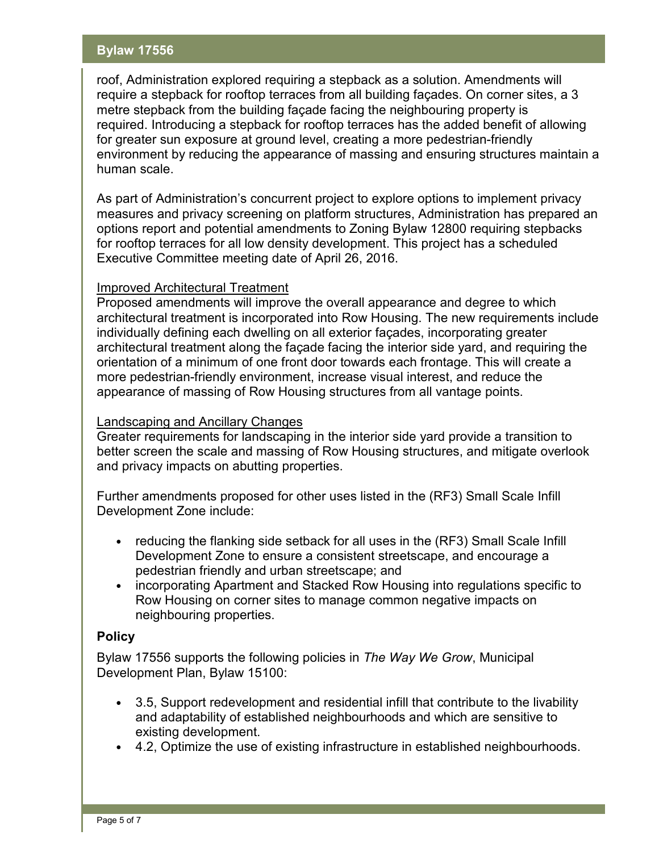roof, Administration explored requiring a stepback as a solution. Amendments will require a stepback for rooftop terraces from all building façades. On corner sites, a 3 metre stepback from the building façade facing the neighbouring property is required. Introducing a stepback for rooftop terraces has the added benefit of allowing for greater sun exposure at ground level, creating a more pedestrian-friendly environment by reducing the appearance of massing and ensuring structures maintain a human scale.

As part of Administration's concurrent project to explore options to implement privacy measures and privacy screening on platform structures, Administration has prepared an options report and potential amendments to Zoning Bylaw 12800 requiring stepbacks for rooftop terraces for all low density development. This project has a scheduled Executive Committee meeting date of April 26, 2016.

### Improved Architectural Treatment

Proposed amendments will improve the overall appearance and degree to which architectural treatment is incorporated into Row Housing. The new requirements include individually defining each dwelling on all exterior façades, incorporating greater architectural treatment along the façade facing the interior side yard, and requiring the orientation of a minimum of one front door towards each frontage. This will create a more pedestrian-friendly environment, increase visual interest, and reduce the appearance of massing of Row Housing structures from all vantage points.

#### Landscaping and Ancillary Changes

Greater requirements for landscaping in the interior side yard provide a transition to better screen the scale and massing of Row Housing structures, and mitigate overlook and privacy impacts on abutting properties.

Further amendments proposed for other uses listed in the (RF3) Small Scale Infill Development Zone include:

- reducing the flanking side setback for all uses in the (RF3) Small Scale Infill Development Zone to ensure a consistent streetscape, and encourage a pedestrian friendly and urban streetscape; and
- incorporating Apartment and Stacked Row Housing into regulations specific to Row Housing on corner sites to manage common negative impacts on neighbouring properties.

#### **Policy**

Bylaw 17556 supports the following policies in *The Way We Grow*, Municipal Development Plan, Bylaw 15100:

- 3.5, Support redevelopment and residential infill that contribute to the livability and adaptability of established neighbourhoods and which are sensitive to existing development.
- 4.2, Optimize the use of existing infrastructure in established neighbourhoods.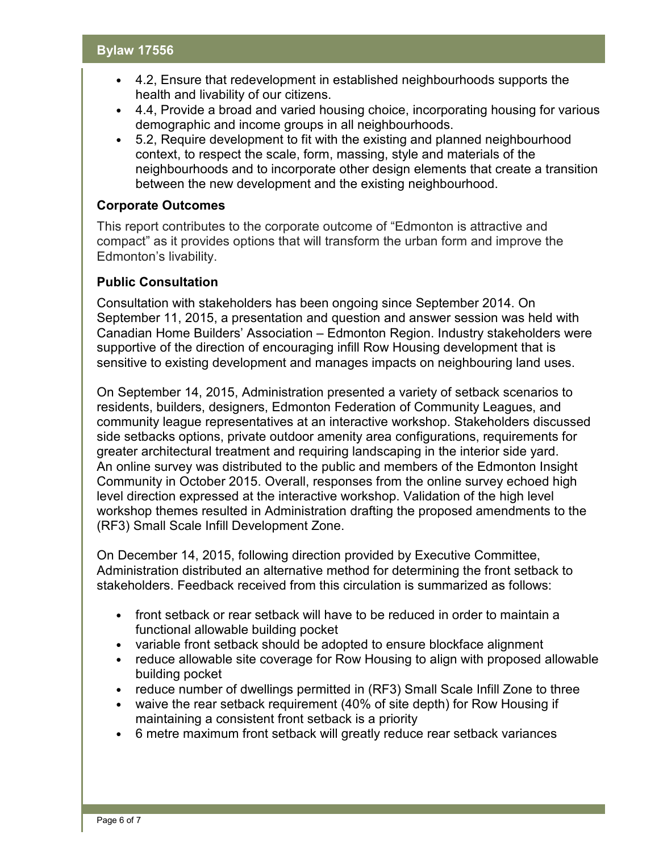- 4.2, Ensure that redevelopment in established neighbourhoods supports the health and livability of our citizens.
- 4.4, Provide a broad and varied housing choice, incorporating housing for various demographic and income groups in all neighbourhoods.
- 5.2, Require development to fit with the existing and planned neighbourhood context, to respect the scale, form, massing, style and materials of the neighbourhoods and to incorporate other design elements that create a transition between the new development and the existing neighbourhood.

#### **Corporate Outcomes**

This report contributes to the corporate outcome of "Edmonton is attractive and compact" as it provides options that will transform the urban form and improve the Edmonton's livability.

### **Public Consultation**

Consultation with stakeholders has been ongoing since September 2014. On September 11, 2015, a presentation and question and answer session was held with Canadian Home Builders' Association – Edmonton Region. Industry stakeholders were supportive of the direction of encouraging infill Row Housing development that is sensitive to existing development and manages impacts on neighbouring land uses.

On September 14, 2015, Administration presented a variety of setback scenarios to residents, builders, designers, Edmonton Federation of Community Leagues, and community league representatives at an interactive workshop. Stakeholders discussed side setbacks options, private outdoor amenity area configurations, requirements for greater architectural treatment and requiring landscaping in the interior side yard. An online survey was distributed to the public and members of the Edmonton Insight Community in October 2015. Overall, responses from the online survey echoed high level direction expressed at the interactive workshop. Validation of the high level workshop themes resulted in Administration drafting the proposed amendments to the (RF3) Small Scale Infill Development Zone.

On December 14, 2015, following direction provided by Executive Committee, Administration distributed an alternative method for determining the front setback to stakeholders. Feedback received from this circulation is summarized as follows:

- front setback or rear setback will have to be reduced in order to maintain a functional allowable building pocket
- variable front setback should be adopted to ensure blockface alignment
- reduce allowable site coverage for Row Housing to align with proposed allowable building pocket
- reduce number of dwellings permitted in (RF3) Small Scale Infill Zone to three
- waive the rear setback requirement (40% of site depth) for Row Housing if maintaining a consistent front setback is a priority
- 6 metre maximum front setback will greatly reduce rear setback variances